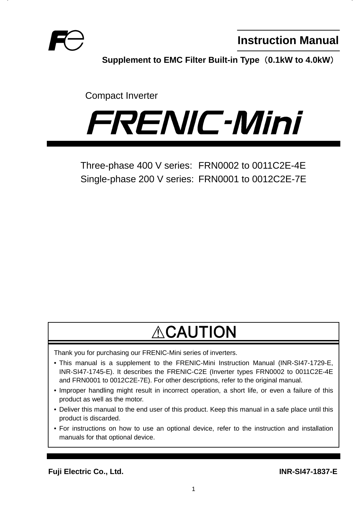

**Instruction Manual**

**Supplement to EMC Filter Built-in Type (0.1kW to 4.0kW)** 

Compact Inverter



Three-phase 400 V series: FRN0002 to 0011C2E-4E Single-phase 200 V series: FRN0001 to 0012C2E-7E

# **ACAUTION**

Thank you for purchasing our FRENIC-Mini series of inverters.

- This manual is a supplement to the FRENIC-Mini Instruction Manual (INR-SI47-1729-E, INR-SI47-1745-E). It describes the FRENIC-C2E (Inverter types FRN0002 to 0011C2E-4E and FRN0001 to 0012C2E-7E). For other descriptions, refer to the original manual.
- Improper handling might result in incorrect operation, a short life, or even a failure of this product as well as the motor.
- Deliver this manual to the end user of this product. Keep this manual in a safe place until this product is discarded.
- For instructions on how to use an optional device, refer to the instruction and installation manuals for that optional device.

**Fuji Electric Co., Ltd. INR-SI47-1837-E**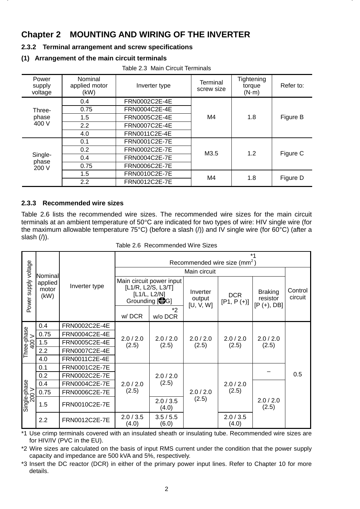## **Chapter 2 MOUNTING AND WIRING OF THE INVERTER**

#### **2.3.2 Terminal arrangement and screw specifications**

#### **(1) Arrangement of the main circuit terminals**

#### Table 2.3 Main Circuit Terminals

| Power<br>supply<br>voltage | Nominal<br>applied motor<br>(kW) | Inverter type        | Terminal<br>screw size | Tightening<br>torque<br>$(N \cdot m)$ | Refer to: |
|----------------------------|----------------------------------|----------------------|------------------------|---------------------------------------|-----------|
|                            | 0.4                              | FRN0002C2E-4E        |                        |                                       |           |
| Three-                     | 0.75                             | FRN0004C2E-4E        |                        |                                       |           |
| phase                      | 1.5                              | FRN0005C2E-4E        | M4                     | 1.8                                   | Figure B  |
| 400 V                      | 2.2                              | FRN0007C2E-4E        |                        |                                       |           |
|                            | 4.0                              | FRN0011C2E-4E        |                        |                                       |           |
|                            | 0.1                              | FRN0001C2E-7E        |                        |                                       |           |
|                            | 0.2                              | FRN0002C2E-7E        | M3.5                   | 1.2                                   | Figure C  |
| Single-<br>phase           | 0.4                              | FRN0004C2E-7E        |                        |                                       |           |
| 200 V                      | 0.75                             | <b>FRN0006C2E-7E</b> |                        |                                       |           |
|                            | 1.5                              | FRN0010C2E-7E        | M4                     | 1.8                                   | Figure D  |
|                            | 2.2                              | FRN0012C2E-7E        |                        |                                       |           |

#### **2.3.3 Recommended wire sizes**

Table 2.6 lists the recommended wire sizes. The recommended wire sizes for the main circuit terminals at an ambient temperature of  $50^{\circ}$ C are indicated for two types of wire: HIV single wire (for the maximum allowable temperature 75°C) (before a slash (/)) and IV single wire (for 60°C) (after a slash (/)).

|                       |                                     |               |                                                      |                          |                                 | Recommended wire size (mm <sup>2</sup> ) | $*_{1}$                                     |                    |
|-----------------------|-------------------------------------|---------------|------------------------------------------------------|--------------------------|---------------------------------|------------------------------------------|---------------------------------------------|--------------------|
|                       |                                     |               |                                                      |                          | Main circuit                    |                                          |                                             |                    |
| Power supply voltage  | Nominal<br>applied<br>motor<br>(kW) | Inverter type | [L1/R, L2/S, L3/T]<br>[L1/L, L2/N]<br>Grounding [SG] | Main circuit power input | Inverter<br>output<br>[U, V, W] | <b>DCR</b><br>$[P1, P (+)]$              | <b>Braking</b><br>resistor<br>$[P (+), DB]$ | Control<br>circuit |
|                       |                                     |               | w/DCR                                                | *2<br>w/o DCR            |                                 |                                          |                                             |                    |
|                       | 0.4                                 | FRN0002C2E-4E |                                                      |                          |                                 |                                          |                                             |                    |
|                       | 0.75                                | FRN0004C2E-4E | 2.0 / 2.0                                            | 2.0 / 2.0                | 2.0 / 2.0                       | 2.0 / 2.0                                | 2.0 / 2.0                                   |                    |
| Three-phase<br>400 V  | 1.5                                 | FRN0005C2E-4E | (2.5)                                                | (2.5)                    | (2.5)                           | (2.5)                                    | (2.5)                                       |                    |
|                       | 2.2                                 | FRN0007C2E-4E |                                                      |                          |                                 |                                          |                                             |                    |
|                       | 4.0                                 | FRN0011C2E-4E |                                                      |                          |                                 |                                          |                                             |                    |
|                       | 0.1                                 | FRN0001C2E-7E |                                                      |                          |                                 |                                          |                                             |                    |
|                       | 0.2                                 | FRN0002C2E-7E |                                                      | 2.0 / 2.0                |                                 |                                          |                                             | 0.5                |
|                       | 0.4                                 | FRN0004C2E-7E | 2.0 / 2.0                                            | (2.5)                    |                                 | 2.0 / 2.0                                |                                             |                    |
|                       | 0.75                                | FRN0006C2E-7E | (2.5)                                                |                          | 2.0 / 2.0                       | (2.5)                                    |                                             |                    |
| Single-phase<br>200 V | 1.5                                 | FRN0010C2E-7E |                                                      | 2.0 / 3.5<br>(4.0)       | (2.5)                           |                                          | 2.0 / 2.0<br>(2.5)                          |                    |
|                       | 2.2                                 | FRN0012C2E-7E | 2.0 / 3.5<br>(4.0)                                   | 3.5/5.5<br>(6.0)         |                                 | 2.0/3.5<br>(4.0)                         |                                             |                    |

| Table 2.6 Recommended Wire Sizes |  |  |  |
|----------------------------------|--|--|--|
|----------------------------------|--|--|--|

\*1 Use crimp terminals covered with an insulated sheath or insulating tube. Recommended wire sizes are for HIV/IV (PVC in the EU).

\*2 Wire sizes are calculated on the basis of input RMS current under the condition that the power supply capacity and impedance are 500 kVA and 5%, respectively.

\*3 Insert the DC reactor (DCR) in either of the primary power input lines. Refer to Chapter 10 for more details.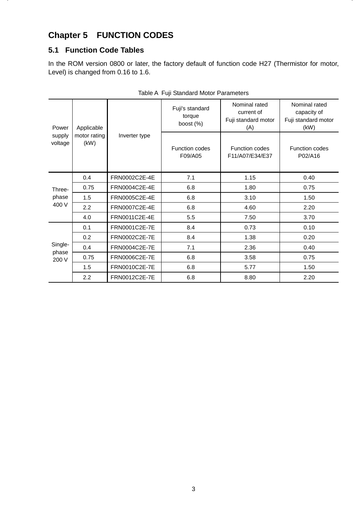# **Chapter 5 FUNCTION CODES**

## **5.1 Function Code Tables**

In the ROM version 0800 or later, the factory default of function code H27 (Thermistor for motor, Level) is changed from 0.16 to 1.6.

| Power             | Applicable           |               | Fuji's standard<br>torque<br>boost $(\%)$ | Nominal rated<br>current of<br>Fuji standard motor<br>(A) | Nominal rated<br>capacity of<br>Fuji standard motor<br>(kW) |
|-------------------|----------------------|---------------|-------------------------------------------|-----------------------------------------------------------|-------------------------------------------------------------|
| supply<br>voltage | motor rating<br>(kW) | Inverter type | <b>Function codes</b><br>F09/A05          | <b>Function codes</b><br>F11/A07/E34/E37                  | <b>Function codes</b><br>P02/A16                            |
|                   | 0.4                  | FRN0002C2E-4E | 7.1                                       | 1.15                                                      | 0.40                                                        |
| Three-            | 0.75                 | FRN0004C2E-4E | 6.8                                       | 1.80                                                      | 0.75                                                        |
| phase             | 1.5                  | FRN0005C2E-4E | 6.8                                       | 3.10                                                      | 1.50                                                        |
| 400 V             | 2.2                  | FRN0007C2E-4E | 6.8                                       | 4.60                                                      | 2.20                                                        |
|                   | 4.0                  | FRN0011C2E-4E | 5.5                                       | 7.50                                                      | 3.70                                                        |
|                   | 0.1                  | FRN0001C2E-7E | 8.4                                       | 0.73                                                      | 0.10                                                        |
|                   | 0.2                  | FRN0002C2E-7E | 8.4                                       | 1.38                                                      | 0.20                                                        |
| Single-           | 0.4                  | FRN0004C2E-7E | 7.1                                       | 2.36                                                      | 0.40                                                        |
| phase<br>200 V    | 0.75                 | FRN0006C2E-7E | 6.8                                       | 3.58                                                      | 0.75                                                        |
|                   | 1.5                  | FRN0010C2E-7E | 6.8                                       | 5.77                                                      | 1.50                                                        |
|                   | 2.2                  | FRN0012C2E-7E | 6.8                                       | 8.80                                                      | 2.20                                                        |

|  | Table A Fuji Standard Motor Parameters |  |  |
|--|----------------------------------------|--|--|
|--|----------------------------------------|--|--|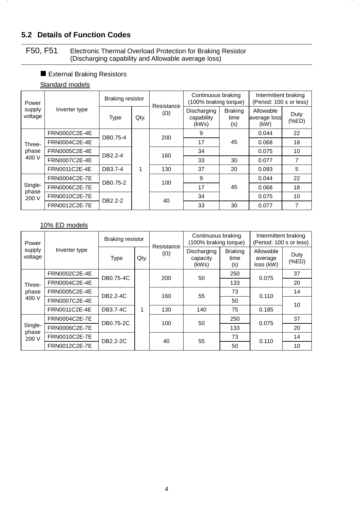## **5.2 Details of Function Codes**

#### F50, F51 Electronic Thermal Overload Protection for Braking Resistor (Discharging capability and Allowable average loss)

#### External Braking Resistors

#### Standard models

| Power             |               | <b>Braking resistor</b> |      | Resistance | Continuous braking<br>(100% braking torque) |                               | Intermittent braking<br>(Period: 100 s or less) |              |
|-------------------|---------------|-------------------------|------|------------|---------------------------------------------|-------------------------------|-------------------------------------------------|--------------|
| supply<br>voltage | Inverter type | <b>Type</b>             | Qty. | $(\Omega)$ | Discharging<br>capability<br>(kWs)          | <b>Braking</b><br>time<br>(s) | Allowable<br>average loss<br>(kW)               | Duty<br>(%E) |
|                   | FRN0002C2E-4E | DB0.75-4                |      | 200        | 9                                           |                               | 0.044                                           | 22           |
| Three-            | FRN0004C2E-4E |                         |      |            | 17                                          | 45                            | 0.068                                           | 18           |
| phase             | FRN0005C2E-4E | DB2.2-4                 | 160  |            | 34                                          |                               | 0.075                                           | 10           |
| 400 V             | FRN0007C2E-4E |                         |      |            | 33                                          | 30                            | 0.077                                           | 7            |
|                   | FRN0011C2E-4E | DB3.7-4                 | 1    | 130        | 37                                          | 20                            | 0.093                                           | 5            |
|                   | FRN0004C2E-7E | DB0.75-2                |      | 100        | 9                                           |                               | 0.044                                           | 22           |
| Single-           | FRN0006C2E-7E |                         |      |            | 17                                          | 45                            | 0.068                                           | 18           |
| phase<br>200 V    | FRN0010C2E-7E | DB2.2-2                 |      | 40         | 34                                          |                               | 0.075                                           | 10           |
|                   | FRN0012C2E-7E |                         |      |            | 33                                          | 30                            | 0.077                                           | 7            |

#### 10% ED models

| Power             |               | <b>Braking resistor</b> |      | Resistance | Continuous braking<br>(100% braking torque) |                               | Intermittent braking<br>(Period: 100 s or less) |              |
|-------------------|---------------|-------------------------|------|------------|---------------------------------------------|-------------------------------|-------------------------------------------------|--------------|
| supply<br>voltage | Inverter type | <b>Type</b>             | Qty. | $(\Omega)$ | Discharging<br>capacity<br>(kWs)            | <b>Braking</b><br>time<br>(s) | Allowable<br>average<br>loss (kW)               | Duty<br>(%E) |
|                   | FRN0002C2E-4E | DB0.75-4C               |      | 200        | 50                                          | 250                           | 0.075                                           | 37           |
| Three-            | FRN0004C2E-4E |                         |      |            |                                             | 133                           |                                                 | 20           |
| phase             | FRN0005C2E-4E | DB2.2-4C                |      | 160        | 55                                          | 73                            | 0.110                                           | 14           |
| 400 V             | FRN0007C2E-4E |                         |      |            |                                             | 50                            |                                                 | 10           |
|                   | FRN0011C2E-4E | DB3.7-4C                | 1    | 130        | 140                                         | 75                            | 0.185                                           |              |
|                   | FRN0004C2E-7E | DB0.75-2C               |      | 100        | 50                                          | 250                           | 0.075                                           | 37           |
| Single-<br>phase  | FRN0006C2E-7E |                         |      |            |                                             | 133                           |                                                 | 20           |
| 200 V             | FRN0010C2E-7E | DB2.2-2C                |      | 40         | 55                                          | 73                            | 0.110                                           | 14           |
|                   | FRN0012C2E-7E |                         |      |            |                                             | 50                            |                                                 | 10           |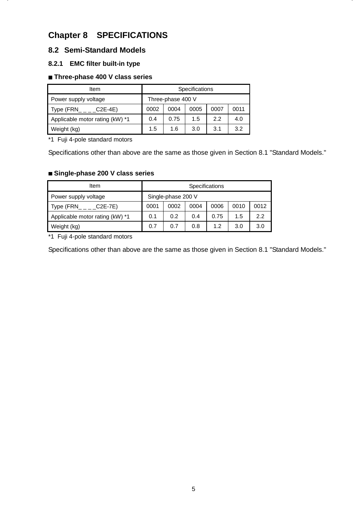# **Chapter 8 SPECIFICATIONS**

## **8.2 Semi-Standard Models**

#### **8.2.1 EMC filter built-in type**

#### **Three-phase 400 V class series**

| Item                            | <b>Specifications</b> |                   |      |      |      |  |  |
|---------------------------------|-----------------------|-------------------|------|------|------|--|--|
| Power supply voltage            |                       | Three-phase 400 V |      |      |      |  |  |
| Type (FRN<br>$C2E-4E$           | 0002                  | 0004              | 0005 | 0007 | 0011 |  |  |
| Applicable motor rating (kW) *1 | 0.4                   | 0.75              | 1.5  | 2.2  | 4.0  |  |  |
| Weight (kg)                     | 1.5                   | 1.6               | 3.0  | 3.1  | 3.2  |  |  |

\*1 Fuji 4-pole standard motors

Specifications other than above are the same as those given in Section 8.1 "Standard Models."

#### **Single-phase 200 V class series**

| Item                            |      |                    |      | <b>Specifications</b> |      |      |
|---------------------------------|------|--------------------|------|-----------------------|------|------|
| Power supply voltage            |      | Single-phase 200 V |      |                       |      |      |
| Type (FRN_<br>$C2E-7E$          | 0001 | 0002               | 0004 | 0006                  | 0010 | 0012 |
| Applicable motor rating (kW) *1 | 0.1  | 0.2                | 0.4  | 0.75                  | 1.5  | 2.2  |
| Weight (kg)                     | 0.7  | 0.7                | 0.8  | 12                    | 3.0  | 3.0  |

\*1 Fuji 4-pole standard motors

Specifications other than above are the same as those given in Section 8.1 "Standard Models."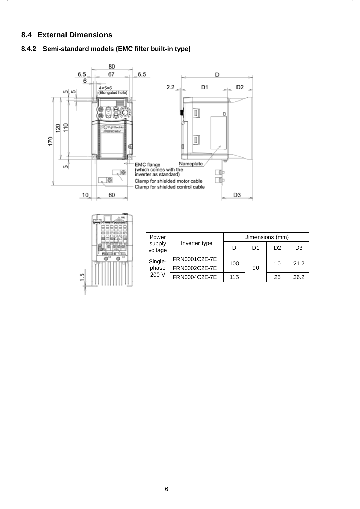#### **8.4 External Dimensions**

#### **8.4.2 Semi-standard models (EMC filter built-in type)**





| Power                              |               |     | Dimensions (mm) |                |      |
|------------------------------------|---------------|-----|-----------------|----------------|------|
| supply<br>Inverter type<br>voltage |               | D   | D1              | D <sub>2</sub> | D3   |
| Single-                            | FRN0001C2E-7E | 100 |                 | 10             | 21.2 |
| phase                              | FRN0002C2E-7E |     | 90              |                |      |
| 200 V                              | FRN0004C2E-7E | 115 |                 | 25             | 36.2 |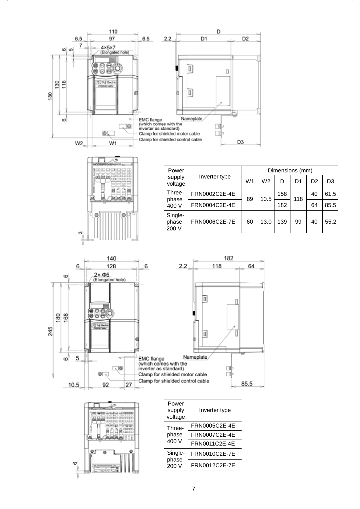



| Power                     |               |    | Dimensions (mm) |     |     |                |                |  |  |
|---------------------------|---------------|----|-----------------|-----|-----|----------------|----------------|--|--|
| supply<br>voltage         | Inverter type | W1 | W <sub>2</sub>  | D   | D1  | D <sub>2</sub> | D <sub>3</sub> |  |  |
| Three-                    | FRN0002C2E-4E | 89 | 10.5            | 158 | 118 | 40             | 61.5           |  |  |
| phase<br>400 V            | FRN0004C2E-4E |    |                 | 182 |     | 64             | 85.5           |  |  |
| Single-<br>phase<br>200 V | FRN0006C2E-7E | 60 | 13.0            | 139 | 99  | 40             | 55.2           |  |  |

D<sub>2</sub>





| Power<br>supply<br>voltage | Inverter type |
|----------------------------|---------------|
| Three-                     | FRN0005C2E-4E |
| phase<br>400 V             | FRN0007C2E-4E |
|                            | FRN0011C2E-4E |
| Single-                    | FRN0010C2E-7E |
| phase<br>200 V             | FRN0012C2E-7E |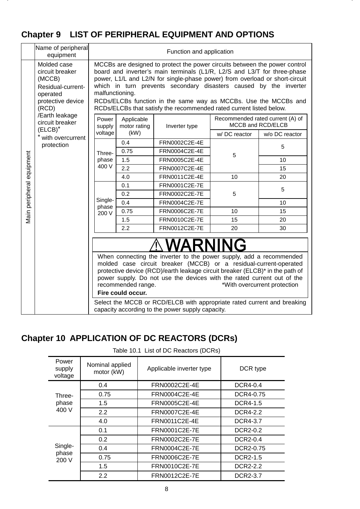# **Chapter 9 LIST OF PERIPHERAL EQUIPMENT AND OPTIONS**

|                           | Name of peripheral<br>equipment                                                                         |                           | Function and application                    |                                                                                                                                                                                                                                                                                                                                                                                                                                                      |              |                                                       |  |  |  |
|---------------------------|---------------------------------------------------------------------------------------------------------|---------------------------|---------------------------------------------|------------------------------------------------------------------------------------------------------------------------------------------------------------------------------------------------------------------------------------------------------------------------------------------------------------------------------------------------------------------------------------------------------------------------------------------------------|--------------|-------------------------------------------------------|--|--|--|
|                           | Molded case<br>circuit breaker<br>(MCCB)<br>Residual-current-<br>operated<br>protective device<br>(RCD) | malfunctioning.           |                                             | MCCBs are designed to protect the power circuits between the power control<br>board and inverter's main terminals (L1/R, L2/S and L3/T for three-phase<br>power, L1/L and L2/N for single-phase power) from overload or short-circuit<br>which in turn prevents secondary disasters caused by the inverter<br>RCDs/ELCBs function in the same way as MCCBs. Use the MCCBs and<br>RCDs/ELCBs that satisfy the recommended rated current listed below. |              |                                                       |  |  |  |
|                           | /Earth leakage<br>circuit breaker                                                                       | Power<br>supply           | Applicable<br>motor rating<br>Inverter type |                                                                                                                                                                                                                                                                                                                                                                                                                                                      |              | Recommended rated current (A) of<br>MCCB and RCD/ELCB |  |  |  |
|                           | $(ELCB)^*$<br>with overcurrent                                                                          | voltage                   | (kW)                                        |                                                                                                                                                                                                                                                                                                                                                                                                                                                      | w/DC reactor | w/o DC reactor                                        |  |  |  |
|                           | protection                                                                                              |                           | 0.4                                         | FRN0002C2E-4E                                                                                                                                                                                                                                                                                                                                                                                                                                        |              | 5                                                     |  |  |  |
|                           |                                                                                                         | Three-                    | 0.75                                        | FRN0004C2E-4E                                                                                                                                                                                                                                                                                                                                                                                                                                        | 5            |                                                       |  |  |  |
| Main peripheral equipment |                                                                                                         | phase                     | 1.5                                         | FRN0005C2E-4E                                                                                                                                                                                                                                                                                                                                                                                                                                        |              | 10                                                    |  |  |  |
|                           |                                                                                                         | 400 V                     | 2.2                                         | FRN0007C2E-4E                                                                                                                                                                                                                                                                                                                                                                                                                                        |              | 15                                                    |  |  |  |
|                           |                                                                                                         |                           | 4.0                                         | FRN0011C2E-4E                                                                                                                                                                                                                                                                                                                                                                                                                                        | 10           | 20                                                    |  |  |  |
|                           |                                                                                                         | Single-<br>phase<br>200 V | 0.1                                         | FRN0001C2E-7E                                                                                                                                                                                                                                                                                                                                                                                                                                        |              | 5                                                     |  |  |  |
|                           |                                                                                                         |                           | 0.2                                         | FRN0002C2E-7E                                                                                                                                                                                                                                                                                                                                                                                                                                        | 5            |                                                       |  |  |  |
|                           |                                                                                                         |                           | 0.4                                         | FRN0004C2E-7E                                                                                                                                                                                                                                                                                                                                                                                                                                        |              | 10                                                    |  |  |  |
|                           |                                                                                                         |                           | 0.75                                        | FRN0006C2E-7E                                                                                                                                                                                                                                                                                                                                                                                                                                        | 10           | 15                                                    |  |  |  |
|                           |                                                                                                         |                           | 1.5                                         | FRN0010C2E-7E                                                                                                                                                                                                                                                                                                                                                                                                                                        | 15           | 20                                                    |  |  |  |
|                           |                                                                                                         |                           | 2.2                                         | FRN0012C2E-7E                                                                                                                                                                                                                                                                                                                                                                                                                                        | 20           | 30                                                    |  |  |  |
|                           |                                                                                                         |                           | recommended range.<br>Fire could occur.     | WARNING<br>When connecting the inverter to the power supply, add a recommended<br>molded case circuit breaker (MCCB) or a residual-current-operated<br>protective device (RCD)/earth leakage circuit breaker (ELCB)* in the path of<br>power supply. Do not use the devices with the rated current out of the<br>Select the MCCB or RCD/ELCB with appropriate rated current and breaking<br>capacity according to the power supply capacity.         |              | *With overcurrent protection                          |  |  |  |

# **Chapter 10 APPLICATION OF DC REACTORS (DCRs)**

| Table 10.1 List of DC Reactors (DCRs) |  |
|---------------------------------------|--|
|                                       |  |

| Power<br>supply<br>voltage | Nominal applied<br>motor (kW) | Applicable inverter type | DCR type        |
|----------------------------|-------------------------------|--------------------------|-----------------|
|                            | 0.4                           | FRN0002C2E-4E            | DCR4-0.4        |
| Three-                     | 0.75                          | FRN0004C2E-4E            | DCR4-0.75       |
| phase                      | 1.5                           | FRN0005C2E-4E            | <b>DCR4-1.5</b> |
| 400 V                      | 2.2                           | FRN0007C2E-4E            | DCR4-2.2        |
|                            | 4.0                           | FRN0011C2E-4E            | DCR4-3.7        |
|                            | 0.1                           | FRN0001C2E-7E            | DCR2-0.2        |
|                            | 0.2                           | FRN0002C2E-7E            | DCR2-0.4        |
| Single-<br>phase           | 0.4                           | FRN0004C2E-7E            | DCR2-0.75       |
| 200 V                      | 0.75                          | FRN0006C2E-7E            | DCR2-1.5        |
|                            | 1.5                           | FRN0010C2E-7E            | DCR2-2.2        |
|                            | 2.2                           | FRN0012C2E-7E            | DCR2-3.7        |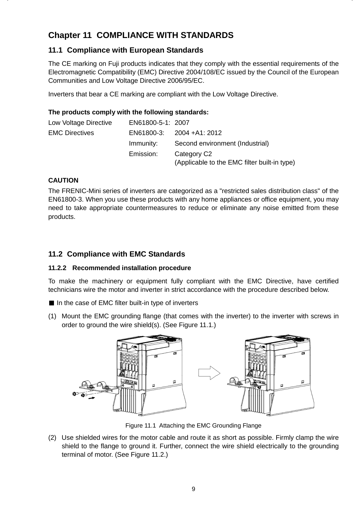# **Chapter 11 COMPLIANCE WITH STANDARDS**

## **11.1 Compliance with European Standards**

The CE marking on Fuji products indicates that they comply with the essential requirements of the Electromagnetic Compatibility (EMC) Directive 2004/108/EC issued by the Council of the European Communities and Low Voltage Directive 2006/95/EC.

Inverters that bear a CE marking are compliant with the Low Voltage Directive.

#### **The products comply with the following standards:**

| Low Voltage Directive | EN61800-5-1: 2007 |                                                                         |
|-----------------------|-------------------|-------------------------------------------------------------------------|
| <b>EMC Directives</b> |                   | EN61800-3: 2004 +A1: 2012                                               |
|                       | Immunity:         | Second environment (Industrial)                                         |
|                       | Emission:         | Category C <sub>2</sub><br>(Applicable to the EMC filter built-in type) |

#### **CAUTION**

The FRENIC-Mini series of inverters are categorized as a "restricted sales distribution class" of the EN61800-3. When you use these products with any home appliances or office equipment, you may need to take appropriate countermeasures to reduce or eliminate any noise emitted from these products.

### **11.2 Compliance with EMC Standards**

#### **11.2.2 Recommended installation procedure**

To make the machinery or equipment fully compliant with the EMC Directive, have certified technicians wire the motor and inverter in strict accordance with the procedure described below.

In the case of EMC filter built-in type of inverters

(1) Mount the EMC grounding flange (that comes with the inverter) to the inverter with screws in order to ground the wire shield(s). (See Figure 11.1.)



Figure 11.1 Attaching the EMC Grounding Flange

(2) Use shielded wires for the motor cable and route it as short as possible. Firmly clamp the wire shield to the flange to ground it. Further, connect the wire shield electrically to the grounding terminal of motor. (See Figure 11.2.)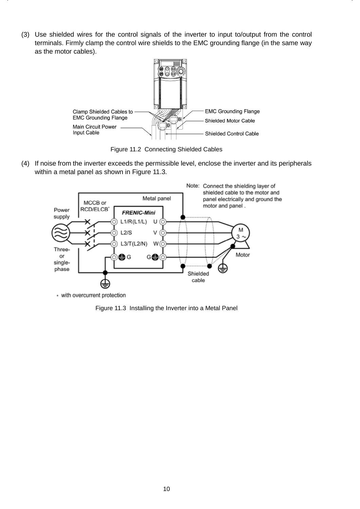(3) Use shielded wires for the control signals of the inverter to input to/output from the control terminals. Firmly clamp the control wire shields to the EMC grounding flange (in the same way as the motor cables).



Figure 11.2 Connecting Shielded Cables

(4) If noise from the inverter exceeds the permissible level, enclose the inverter and its peripherals within a metal panel as shown in Figure 11.3.



+ with overcurrent protection

Figure 11.3 Installing the Inverter into a Metal Panel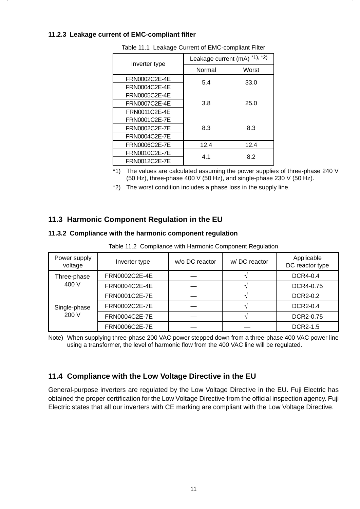#### **11.2.3 Leakage current of EMC-compliant filter**

| Inverter type        | Leakage current (mA) <sup>*1),*2)</sup> |       |  |
|----------------------|-----------------------------------------|-------|--|
|                      | Normal                                  | Worst |  |
| FRN0002C2E-4E        | 5.4                                     | 33.0  |  |
| FRN0004C2E-4E        |                                         |       |  |
| FRN0005C2E-4E        |                                         |       |  |
| FRN0007C2E-4E        | 3.8                                     | 25.0  |  |
| FRN0011C2E-4E        |                                         |       |  |
| FRN0001C2E-7E        |                                         |       |  |
| FRN0002C2E-7E        | 8.3                                     | 8.3   |  |
| <b>FRN0004C2E-7E</b> |                                         |       |  |
| FRN0006C2E-7E        | 12.4                                    | 12.4  |  |
| FRN0010C2E-7E        | 4.1                                     | 8.2   |  |
| FRN0012C2E-7E        |                                         |       |  |

Table 11.1 Leakage Current of EMC-compliant Filter

\*1) The values are calculated assuming the power supplies of three-phase 240 V (50 Hz), three-phase 400 V (50 Hz), and single-phase 230 V (50 Hz).

\*2) The worst condition includes a phase loss in the supply line.

### **11.3 Harmonic Component Regulation in the EU**

#### **11.3.2 Compliance with the harmonic component regulation**

Table 11.2 Compliance with Harmonic Component Regulation

| Power supply<br>voltage | Inverter type        | w/o DC reactor | w/DC reactor | Applicable<br>DC reactor type |
|-------------------------|----------------------|----------------|--------------|-------------------------------|
| Three-phase             | FRN0002C2E-4E        |                |              | DCR4-0.4                      |
| 400 V                   | FRN0004C2E-4E        |                |              | DCR4-0.75                     |
|                         | FRN0001C2E-7E        |                |              | <b>DCR2-0.2</b>               |
| Single-phase            | FRN0002C2E-7E        |                |              | DCR2-0.4                      |
| 200 V                   | FRN0004C2E-7E        |                |              | DCR2-0.75                     |
|                         | <b>FRN0006C2E-7E</b> |                |              | DCR2-1.5                      |

Note) When supplying three-phase 200 VAC power stepped down from a three-phase 400 VAC power line using a transformer, the level of harmonic flow from the 400 VAC line will be regulated.

#### **11.4 Compliance with the Low Voltage Directive in the EU**

General-purpose inverters are regulated by the Low Voltage Directive in the EU. Fuji Electric has obtained the proper certification for the Low Voltage Directive from the official inspection agency. Fuji Electric states that all our inverters with CE marking are compliant with the Low Voltage Directive.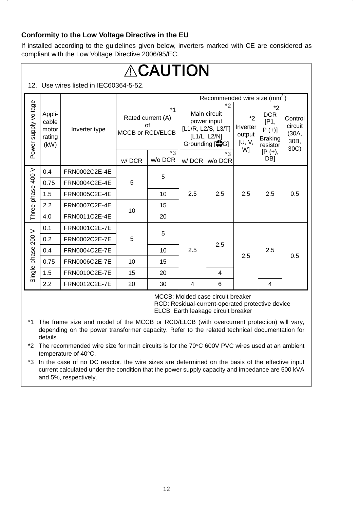#### **Conformity to the Low Voltage Directive in the EU**

If installed according to the guidelines given below, inverters marked with CE are considered as compliant with the Low Voltage Directive 2006/95/EC.

|                      | $\Lambda$ CAUTION                                           |               |                                                     |               |                                                                                           |                |                                      |                                                                           |                                     |  |
|----------------------|-------------------------------------------------------------|---------------|-----------------------------------------------------|---------------|-------------------------------------------------------------------------------------------|----------------|--------------------------------------|---------------------------------------------------------------------------|-------------------------------------|--|
|                      | 12. Use wires listed in IEC60364-5-52.                      |               |                                                     |               |                                                                                           |                |                                      |                                                                           |                                     |  |
|                      |                                                             |               |                                                     |               | Recommended wire size (mm <sup>2</sup> )                                                  |                |                                      |                                                                           |                                     |  |
| Power supply voltage | Appli-<br>cable<br>motor<br>Inverter type<br>rating<br>(kW) |               | $*1$<br>Rated current (A)<br>Ωf<br>MCCB or RCD/ELCB |               | *2<br>Main circuit<br>power input<br>[L1/R, L2/S, L3/T]<br>[L1/L, L2/N]<br>Grounding [SG] |                | $*2$<br>Inverter<br>output<br>[U, V, | $*_{2}$<br><b>DCR</b><br>[ P1,<br>$P (+)$ ]<br><b>Braking</b><br>resistor | Control<br>circuit<br>(30A,<br>30B, |  |
|                      |                                                             |               | w/DCR                                               | *3<br>w/o DCR | w/DCR                                                                                     | *3<br>w/o DCR  | W]                                   | $[P (+),$<br>DB <sub>1</sub>                                              | 30C)                                |  |
|                      | 0.4                                                         | FRN0002C2E-4E | 5                                                   | 5             | 2.5                                                                                       | 2.5            | 2.5                                  | 2.5                                                                       | 0.5                                 |  |
|                      | 0.75                                                        | FRN0004C2E-4E |                                                     |               |                                                                                           |                |                                      |                                                                           |                                     |  |
|                      | 1.5                                                         | FRN0005C2E-4E |                                                     | 10            |                                                                                           |                |                                      |                                                                           |                                     |  |
| Three-phase 400 V    | 2.2                                                         | FRN0007C2E-4E | 10                                                  | 15            |                                                                                           |                |                                      |                                                                           |                                     |  |
|                      | 4.0                                                         | FRN0011C2E-4E |                                                     | 20            |                                                                                           |                |                                      |                                                                           |                                     |  |
|                      | 0.1                                                         | FRN0001C2E-7E | 5                                                   |               |                                                                                           |                |                                      |                                                                           |                                     |  |
| 200 V                | 0.2                                                         | FRN0002C2E-7E |                                                     | 5             |                                                                                           |                |                                      |                                                                           |                                     |  |
| Single-phase         | 0.4                                                         | FRN0004C2E-7E |                                                     | 10            | 2.5                                                                                       | 2.5            |                                      | 2.5                                                                       |                                     |  |
|                      | 0.75                                                        | FRN0006C2E-7E | 10                                                  | 15            |                                                                                           |                | 2.5                                  |                                                                           | 0.5                                 |  |
|                      | 1.5                                                         | FRN0010C2E-7E | 15                                                  | 20            |                                                                                           | $\overline{4}$ |                                      |                                                                           |                                     |  |
|                      | 2.2                                                         | FRN0012C2E-7E | 20                                                  | 30            | 4                                                                                         | 6              |                                      | 4                                                                         |                                     |  |

MCCB: Molded case circuit breaker

RCD: Residual-current-operated protective device ELCB: Earth leakage circuit breaker

\*1 The frame size and model of the MCCB or RCD/ELCB (with overcurrent protection) will vary, depending on the power transformer capacity. Refer to the related technical documentation for details.

\*2 The recommended wire size for main circuits is for the  $70^{\circ}$ C 600V PVC wires used at an ambient temperature of 40°C.

\*3 In the case of no DC reactor, the wire sizes are determined on the basis of the effective input current calculated under the condition that the power supply capacity and impedance are 500 kVA and 5%, respectively.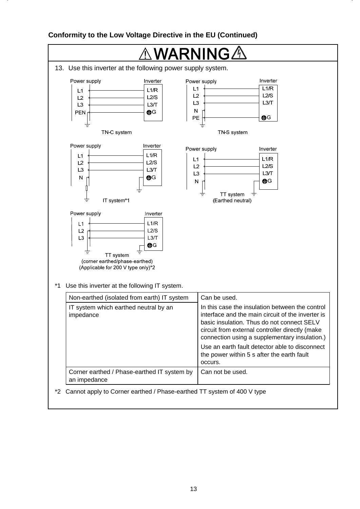#### **Conformity to the Low Voltage Directive in the EU (Continued)**

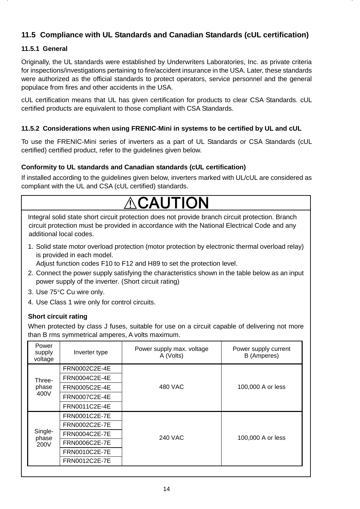## **11.5 Compliance with UL Standards and Canadian Standards (cUL certification)**

#### **11.5.1 General**

Originally, the UL standards were established by Underwriters Laboratories, Inc. as private criteria for inspections/investigations pertaining to fire/accident insurance in the USA. Later, these standards were authorized as the official standards to protect operators, service personnel and the general populace from fires and other accidents in the USA.

cUL certification means that UL has given certification for products to clear CSA Standards. cUL certified products are equivalent to those compliant with CSA Standards.

#### **11.5.2 Considerations when using FRENIC-Mini in systems to be certified by UL and cUL**

To use the FRENIC-Mini series of inverters as a part of UL Standards or CSA Standards (cUL certified) certified product, refer to the guidelines given below.

#### **Conformity to UL standards and Canadian standards (cUL certification)**

If installed according to the guidelines given below, inverters marked with UL/cUL are considered as compliant with the UL and CSA (cUL certified) standards.

# CAUTION

Integral solid state short circuit protection does not provide branch circuit protection. Branch circuit protection must be provided in accordance with the National Electrical Code and any additional local codes.

1. Solid state motor overload protection (motor protection by electronic thermal overload relay) is provided in each model.

Adjust function codes F10 to F12 and H89 to set the protection level.

- 2. Connect the power supply satisfying the characteristics shown in the table below as an input power supply of the inverter. (Short circuit rating)
- 3. Use 75°C Cu wire only.
- 4. Use Class 1 wire only for control circuits.

#### **Short circuit rating**

When protected by class J fuses, suitable for use on a circuit capable of delivering not more than B rms symmetrical amperes, A volts maximum.

| Power<br>supply<br>voltage | Power supply max. voltage<br>Inverter type<br>A (Volts) |         | Power supply current<br>B (Amperes) |  |
|----------------------------|---------------------------------------------------------|---------|-------------------------------------|--|
|                            | FRN0002C2E-4E                                           |         |                                     |  |
| Three-                     | FRN0004C2E-4E                                           |         |                                     |  |
| phase                      | FRN0005C2E-4E                                           | 480 VAC | 100,000 A or less                   |  |
| 400V                       | FRN0007C2E-4E                                           |         |                                     |  |
|                            | FRN0011C2E-4E                                           |         |                                     |  |
|                            | FRN0001C2E-7E                                           |         | 100,000 A or less                   |  |
|                            | FRN0002C2E-7E                                           |         |                                     |  |
| Single-<br>phase           | FRN0004C2E-7E                                           | 240 VAC |                                     |  |
| 200V                       | FRN0006C2E-7E                                           |         |                                     |  |
|                            | FRN0010C2E-7E                                           |         |                                     |  |
|                            | FRN0012C2E-7E                                           |         |                                     |  |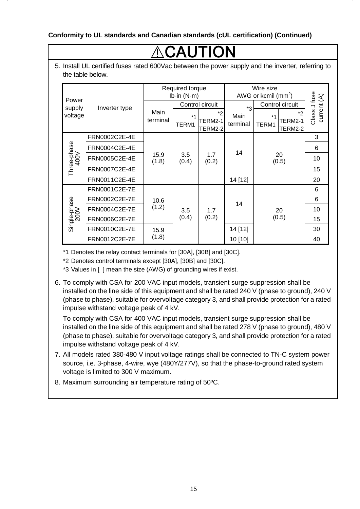#### **Conformity to UL standards and Canadian standards (cUL certification) (Continued)**

# CAUTIO

5. Install UL certified fuses rated 600Vac between the power supply and the inverter, referring to the table below.

|                      |               | Required torque<br>Ib-in $(N·m)$ |               |                          | Wire size<br>AWG or kcmil $(mm^2)$ |                                                  |                             |
|----------------------|---------------|----------------------------------|---------------|--------------------------|------------------------------------|--------------------------------------------------|-----------------------------|
| Power<br>supply      | Inverter type | Control circuit                  |               | $*_{3}$                  | Control circuit                    |                                                  |                             |
| voltage              |               | Main<br>terminal                 | $*1$<br>TERM1 | *2<br>TERM2-1<br>TERM2-2 | Main<br>terminal                   | *2<br>$*1$<br>TERM2-1<br>TERM1<br><b>TERM2-2</b> | Class J fuse<br>current (A) |
|                      | FRN0002C2E-4E |                                  | 3.5<br>(0.4)  | 1.7<br>(0.2)             | 14                                 |                                                  | 3                           |
|                      | FRN0004C2E-4E |                                  |               |                          |                                    |                                                  | 6                           |
| Three-phase<br>400V  | FRN0005C2E-4E | 15.9<br>(1.8)                    |               |                          |                                    | 20<br>(0.5)                                      | 10                          |
|                      | FRN0007C2E-4E |                                  |               |                          |                                    |                                                  | 15                          |
|                      | FRN0011C2E-4E |                                  |               |                          | 14 [12]                            |                                                  | 20                          |
|                      | FRN0001C2E-7E |                                  |               |                          | 14                                 | 20<br>(0.5)                                      | 6                           |
|                      | FRN0002C2E-7E | 10.6                             |               |                          |                                    |                                                  | 6                           |
|                      | FRN0004C2E-7E | (1.2)                            | 3.5           | 1.7                      |                                    |                                                  | 10                          |
| Single-phase<br>200V | FRN0006C2E-7E |                                  | (0.4)         | (0.2)                    |                                    |                                                  | 15                          |
|                      | FRN0010C2E-7E | 15.9                             |               |                          | 14 [12]                            |                                                  | 30                          |
|                      | FRN0012C2E-7E | (1.8)                            |               |                          | 10 [10]                            |                                                  | 40                          |

\*1 Denotes the relay contact terminals for [30A], [30B] and [30C].

\*2 Denotes control terminals except [30A], [30B] and [30C].

\*3 Values in [ ] mean the size (AWG) of grounding wires if exist.

6. To comply with CSA for 200 VAC input models, transient surge suppression shall be installed on the line side of this equipment and shall be rated 240 V (phase to ground), 240 V (phase to phase), suitable for overvoltage category 3, and shall provide protection for a rated impulse withstand voltage peak of 4 kV.

 To comply with CSA for 400 VAC input models, transient surge suppression shall be installed on the line side of this equipment and shall be rated 278 V (phase to ground), 480 V (phase to phase), suitable for overvoltage category 3, and shall provide protection for a rated impulse withstand voltage peak of 4 kV.

- 7. All models rated 380-480 V input voltage ratings shall be connected to TN-C system power source, i.e. 3-phase, 4-wire, wye (480Y/277V), so that the phase-to-ground rated system voltage is limited to 300 V maximum.
- 8. Maximum surrounding air temperature rating of 50ºC.